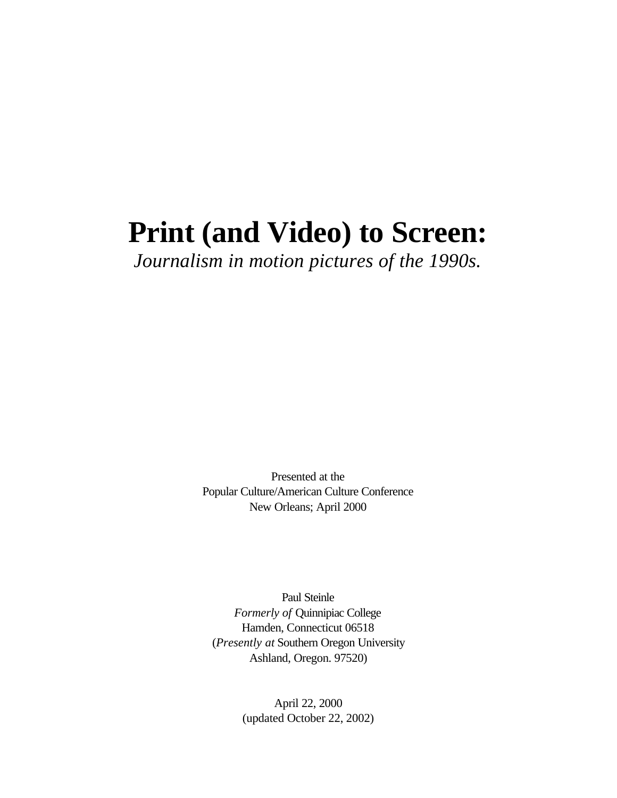# **Print (and Video) to Screen:**

*Journalism in motion pictures of the 1990s.*

Presented at the Popular Culture/American Culture Conference New Orleans; April 2000

Paul Steinle *Formerly of* Quinnipiac College Hamden, Connecticut 06518 (*Presently at* Southern Oregon University Ashland, Oregon. 97520)

> April 22, 2000 (updated October 22, 2002)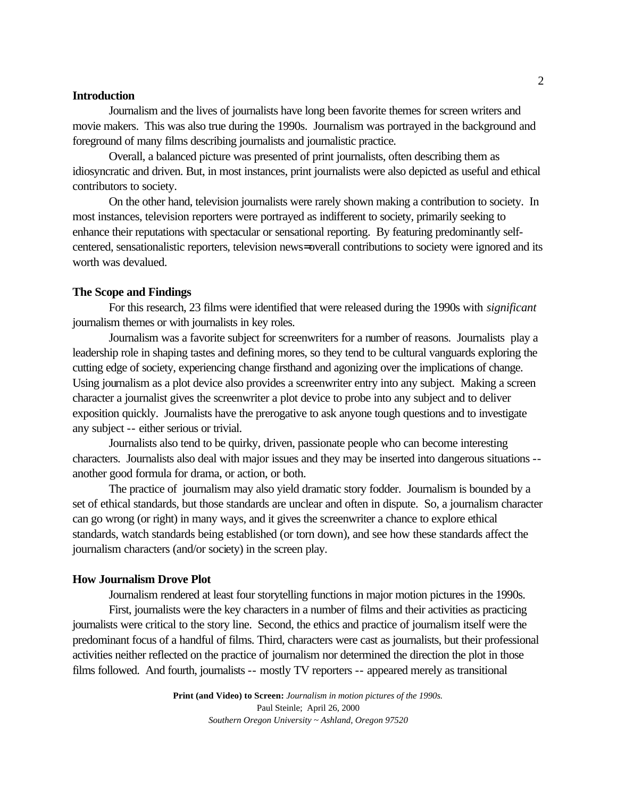## **Introduction**

Journalism and the lives of journalists have long been favorite themes for screen writers and movie makers. This was also true during the 1990s. Journalism was portrayed in the background and foreground of many films describing journalists and journalistic practice.

Overall, a balanced picture was presented of print journalists, often describing them as idiosyncratic and driven. But, in most instances, print journalists were also depicted as useful and ethical contributors to society.

On the other hand, television journalists were rarely shown making a contribution to society. In most instances, television reporters were portrayed as indifferent to society, primarily seeking to enhance their reputations with spectacular or sensational reporting. By featuring predominantly selfcentered, sensationalistic reporters, television news= overall contributions to society were ignored and its worth was devalued.

#### **The Scope and Findings**

For this research, 23 films were identified that were released during the 1990s with *significant* journalism themes or with journalists in key roles.

Journalism was a favorite subject for screenwriters for a number of reasons. Journalists play a leadership role in shaping tastes and defining mores, so they tend to be cultural vanguards exploring the cutting edge of society, experiencing change firsthand and agonizing over the implications of change. Using journalism as a plot device also provides a screenwriter entry into any subject. Making a screen character a journalist gives the screenwriter a plot device to probe into any subject and to deliver exposition quickly. Journalists have the prerogative to ask anyone tough questions and to investigate any subject -- either serious or trivial.

Journalists also tend to be quirky, driven, passionate people who can become interesting characters. Journalists also deal with major issues and they may be inserted into dangerous situations - another good formula for drama, or action, or both.

The practice of journalism may also yield dramatic story fodder. Journalism is bounded by a set of ethical standards, but those standards are unclear and often in dispute. So, a journalism character can go wrong (or right) in many ways, and it gives the screenwriter a chance to explore ethical standards, watch standards being established (or torn down), and see how these standards affect the journalism characters (and/or society) in the screen play.

#### **How Journalism Drove Plot**

Journalism rendered at least four storytelling functions in major motion pictures in the 1990s.

First, journalists were the key characters in a number of films and their activities as practicing journalists were critical to the story line. Second, the ethics and practice of journalism itself were the predominant focus of a handful of films. Third, characters were cast as journalists, but their professional activities neither reflected on the practice of journalism nor determined the direction the plot in those films followed. And fourth, journalists -- mostly TV reporters -- appeared merely as transitional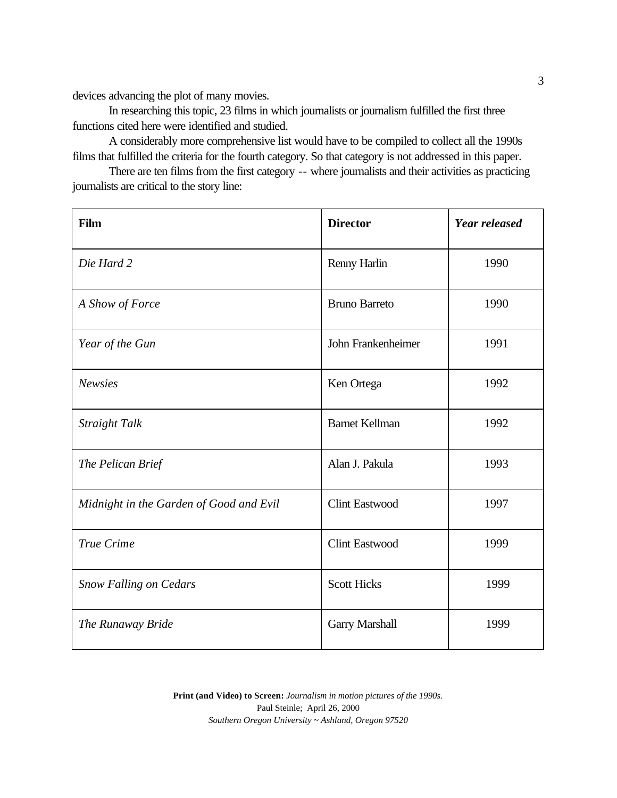devices advancing the plot of many movies.

In researching this topic, 23 films in which journalists or journalism fulfilled the first three functions cited here were identified and studied.

A considerably more comprehensive list would have to be compiled to collect all the 1990s films that fulfilled the criteria for the fourth category. So that category is not addressed in this paper.

There are ten films from the first category -- where journalists and their activities as practicing journalists are critical to the story line:

| Film                                    | <b>Director</b>       | <b>Year released</b> |
|-----------------------------------------|-----------------------|----------------------|
| Die Hard 2                              | Renny Harlin          | 1990                 |
| A Show of Force                         | <b>Bruno Barreto</b>  | 1990                 |
| Year of the Gun                         | John Frankenheimer    | 1991                 |
| <b>Newsies</b>                          | Ken Ortega            | 1992                 |
| Straight Talk                           | <b>Barnet Kellman</b> | 1992                 |
| The Pelican Brief                       | Alan J. Pakula        | 1993                 |
| Midnight in the Garden of Good and Evil | <b>Clint Eastwood</b> | 1997                 |
| True Crime                              | <b>Clint Eastwood</b> | 1999                 |
| <b>Snow Falling on Cedars</b>           | <b>Scott Hicks</b>    | 1999                 |
| The Runaway Bride                       | Garry Marshall        | 1999                 |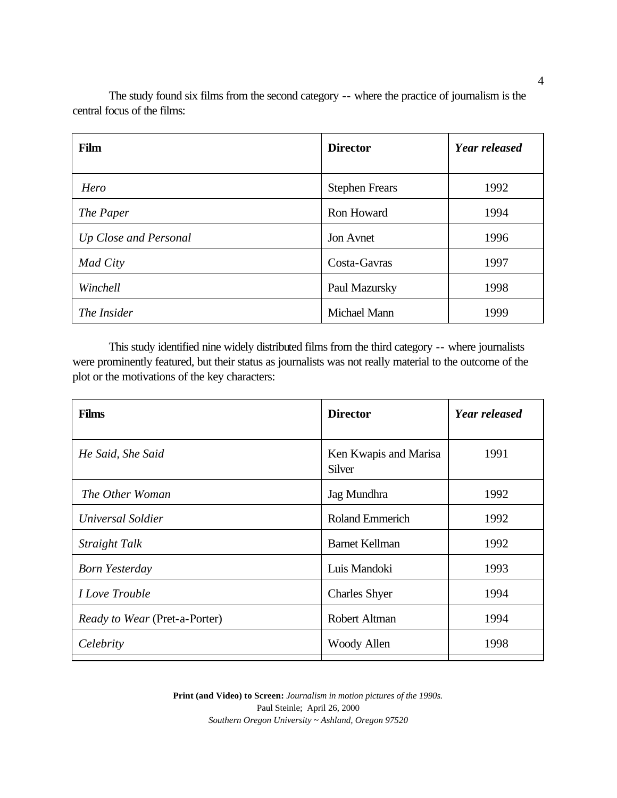| Film                  | <b>Director</b>       | Year released |
|-----------------------|-----------------------|---------------|
| Hero                  | <b>Stephen Frears</b> | 1992          |
| The Paper             | Ron Howard            | 1994          |
| Up Close and Personal | Jon Avnet             | 1996          |
| Mad City              | Costa-Gavras          | 1997          |
| Winchell              | Paul Mazursky         | 1998          |
| The Insider           | <b>Michael Mann</b>   | 1999          |

The study found six films from the second category -- where the practice of journalism is the central focus of the films:

This study identified nine widely distributed films from the third category -- where journalists were prominently featured, but their status as journalists was not really material to the outcome of the plot or the motivations of the key characters:

| <b>Films</b>                  | <b>Director</b>                 | <b>Year released</b> |
|-------------------------------|---------------------------------|----------------------|
| He Said, She Said             | Ken Kwapis and Marisa<br>Silver | 1991                 |
| The Other Woman               | Jag Mundhra                     | 1992                 |
| Universal Soldier             | <b>Roland Emmerich</b>          | 1992                 |
| Straight Talk                 | <b>Barnet Kellman</b>           | 1992                 |
| <b>Born Yesterday</b>         | Luis Mandoki                    | 1993                 |
| <i>I Love Trouble</i>         | <b>Charles Shyer</b>            | 1994                 |
| Ready to Wear (Pret-a-Porter) | Robert Altman                   | 1994                 |
| Celebrity                     | Woody Allen                     | 1998                 |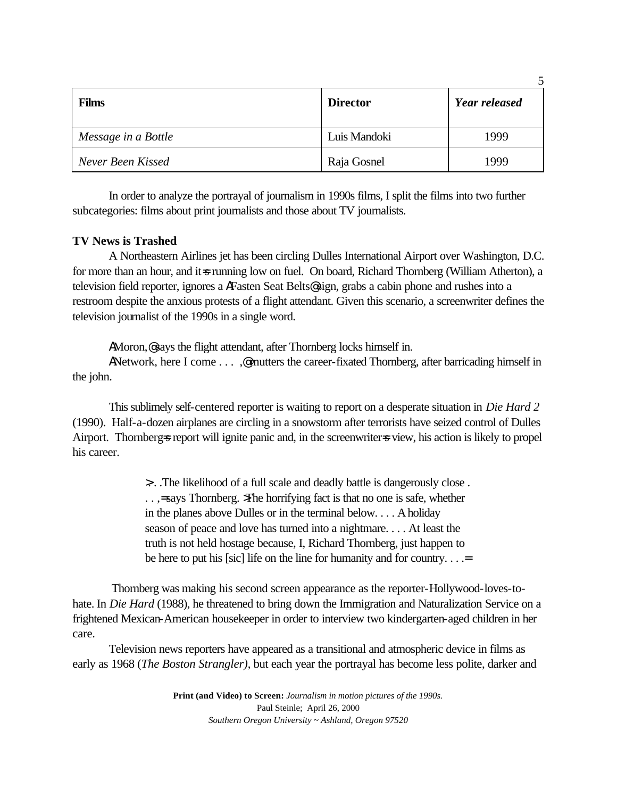| <b>Films</b>        | <b>Director</b> | <b>Year released</b> |
|---------------------|-----------------|----------------------|
| Message in a Bottle | Luis Mandoki    | 1999                 |
| Never Been Kissed   | Raja Gosnel     | 1999                 |

5

In order to analyze the portrayal of journalism in 1990s films, I split the films into two further subcategories: films about print journalists and those about TV journalists.

# **TV News is Trashed**

A Northeastern Airlines jet has been circling Dulles International Airport over Washington, D.C. for more than an hour, and it is running low on fuel. On board, Richard Thornberg (William Atherton), a television field reporter, ignores a AFasten Seat Belts@ sign, grabs a cabin phone and rushes into a restroom despite the anxious protests of a flight attendant. Given this scenario, a screenwriter defines the television journalist of the 1990s in a single word.

AMoron, e says the flight attendant, after Thornberg locks himself in.

ANetwork, here I come . . . .@ mutters the career-fixated Thornberg, after barricading himself in the john.

This sublimely self-centered reporter is waiting to report on a desperate situation in *Die Hard 2* (1990). Half-a-dozen airplanes are circling in a snowstorm after terrorists have seized control of Dulles Airport. Thornberg=s report will ignite panic and, in the screenwriter=s view, his action is likely to propel his career.

> >. . .The likelihood of a full scale and deadly battle is dangerously close . . . ,= says Thornberg. >The horrifying fact is that no one is safe, whether in the planes above Dulles or in the terminal below. . . . A holiday season of peace and love has turned into a nightmare. . . . At least the truth is not held hostage because, I, Richard Thornberg, just happen to be here to put his [sic] life on the line for humanity and for country. . . .=

 Thornberg was making his second screen appearance as the reporter-Hollywood-loves-tohate. In *Die Hard* (1988), he threatened to bring down the Immigration and Naturalization Service on a frightened Mexican-American housekeeper in order to interview two kindergarten-aged children in her care.

Television news reporters have appeared as a transitional and atmospheric device in films as early as 1968 (*The Boston Strangler)*, but each year the portrayal has become less polite, darker and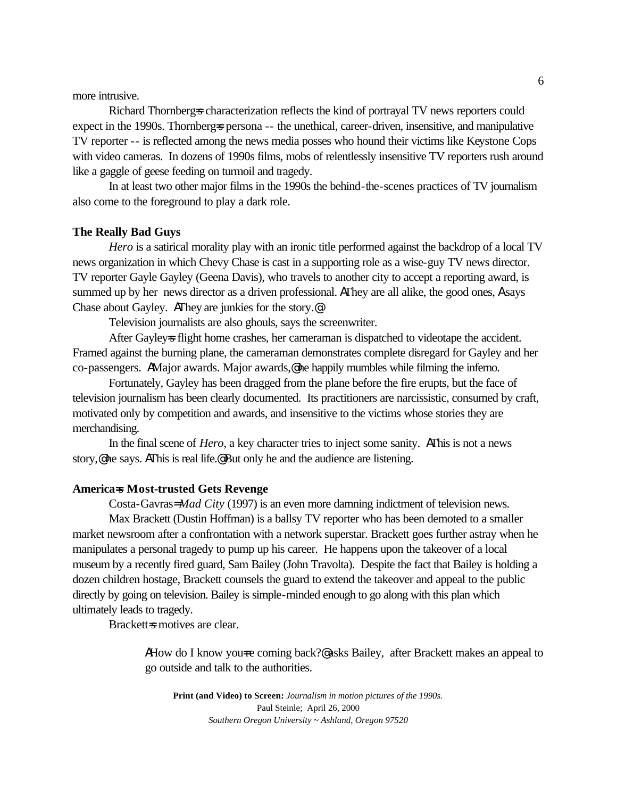more intrusive.

Richard Thornberg=s characterization reflects the kind of portrayal TV news reporters could expect in the 1990s. Thornberg=s persona -- the unethical, career-driven, insensitive, and manipulative TV reporter -- is reflected among the news media posses who hound their victims like Keystone Cops with video cameras. In dozens of 1990s films, mobs of relentlessly insensitive TV reporters rush around like a gaggle of geese feeding on turmoil and tragedy.

In at least two other major films in the 1990s the behind-the-scenes practices of TV journalism also come to the foreground to play a dark role.

#### **The Really Bad Guys**

*Hero* is a satirical morality play with an ironic title performed against the backdrop of a local TV news organization in which Chevy Chase is cast in a supporting role as a wise-guy TV news director. TV reporter Gayle Gayley (Geena Davis), who travels to another city to accept a reporting award, is summed up by her news director as a driven professional. AThey are all alike, the good ones, A says Chase about Gayley. AThey are junkies for the story.@

Television journalists are also ghouls, says the screenwriter.

After Gayleys flight home crashes, her cameraman is dispatched to videotape the accident. Framed against the burning plane, the cameraman demonstrates complete disregard for Gayley and her co-passengers. AMajor awards. Major awards,@ he happily mumbles while filming the inferno.

Fortunately, Gayley has been dragged from the plane before the fire erupts, but the face of television journalism has been clearly documented. Its practitioners are narcissistic, consumed by craft, motivated only by competition and awards, and insensitive to the victims whose stories they are merchandising.

In the final scene of *Hero*, a key character tries to inject some sanity. AThis is not a news story,@ he says. AThis is real life.@ But only he and the audience are listening.

#### **America=s Most-trusted Gets Revenge**

Costa-Gavras= *Mad City* (1997) is an even more damning indictment of television news.

Max Brackett (Dustin Hoffman) is a ballsy TV reporter who has been demoted to a smaller market newsroom after a confrontation with a network superstar. Brackett goes further astray when he manipulates a personal tragedy to pump up his career. He happens upon the takeover of a local museum by a recently fired guard, Sam Bailey (John Travolta). Despite the fact that Bailey is holding a dozen children hostage, Brackett counsels the guard to extend the takeover and appeal to the public directly by going on television. Bailey is simple-minded enough to go along with this plan which ultimately leads to tragedy.

Brackett=s motives are clear.

AHow do I know you re coming back?@ asks Bailey, after Brackett makes an appeal to go outside and talk to the authorities.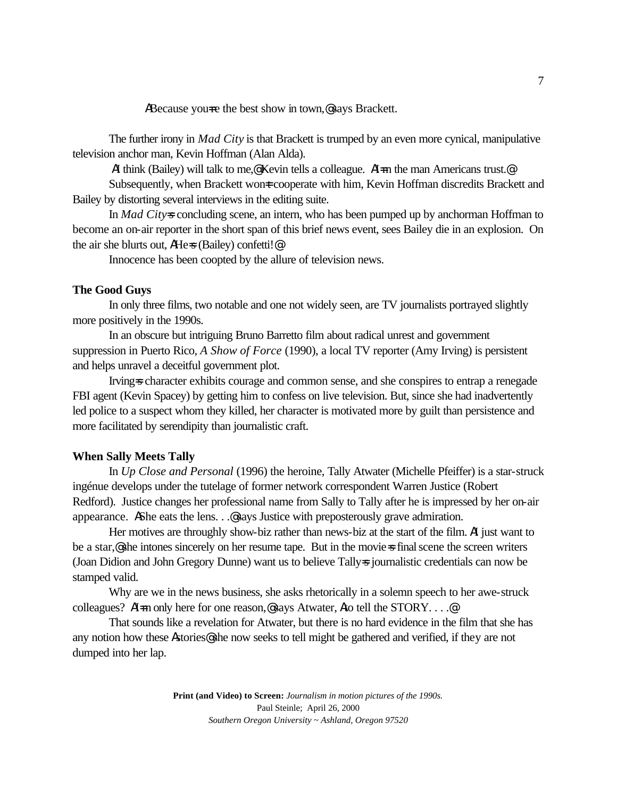ABecause you re the best show in town,  $\mathcal{Q}$  says Brackett.

The further irony in *Mad City* is that Brackett is trumped by an even more cynical, manipulative television anchor man, Kevin Hoffman (Alan Alda).

AI think (Bailey) will talk to me,@ Kevin tells a colleague. AI=m the man Americans trust.@

Subsequently, when Brackett won tcooperate with him, Kevin Hoffman discredits Brackett and Bailey by distorting several interviews in the editing suite.

In *Mad City=s* concluding scene, an intern, who has been pumped up by anchorman Hoffman to become an on-air reporter in the short span of this brief news event, sees Bailey die in an explosion. On the air she blurts out, AHe=s (Bailey) confetti!@

Innocence has been coopted by the allure of television news.

#### **The Good Guys**

In only three films, two notable and one not widely seen, are TV journalists portrayed slightly more positively in the 1990s.

In an obscure but intriguing Bruno Barretto film about radical unrest and government suppression in Puerto Rico, *A Show of Force* (1990), a local TV reporter (Amy Irving) is persistent and helps unravel a deceitful government plot.

Irving=s character exhibits courage and common sense, and she conspires to entrap a renegade FBI agent (Kevin Spacey) by getting him to confess on live television. But, since she had inadvertently led police to a suspect whom they killed, her character is motivated more by guilt than persistence and more facilitated by serendipity than journalistic craft.

# **When Sally Meets Tally**

In *Up Close and Personal* (1996) the heroine, Tally Atwater (Michelle Pfeiffer) is a star-struck ingénue develops under the tutelage of former network correspondent Warren Justice (Robert Redford). Justice changes her professional name from Sally to Tally after he is impressed by her on-air appearance. AShe eats the lens.  $\mathcal{L}$  says Justice with preposterously grave admiration.

Her motives are throughly show-biz rather than news-biz at the start of the film. AI just want to be a star, **@** she intones sincerely on her resume tape. But in the movies final scene the screen writers (Joan Didion and John Gregory Dunne) want us to believe Tally=s journalistic credentials can now be stamped valid.

Why are we in the news business, she asks rhetorically in a solemn speech to her awe-struck colleagues? AI=m only here for one reason,@says Atwater, Ato tell the STORY....@

That sounds like a revelation for Atwater, but there is no hard evidence in the film that she has any notion how these Astories@ she now seeks to tell might be gathered and verified, if they are not dumped into her lap.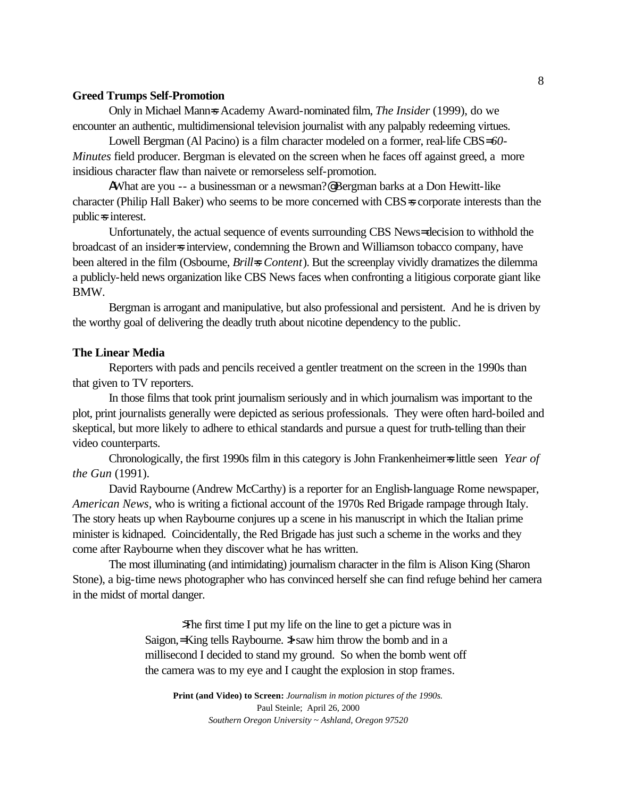## **Greed Trumps Self-Promotion**

Only in Michael Mann=s Academy Award-nominated film, *The Insider* (1999), do we encounter an authentic, multidimensional television journalist with any palpably redeeming virtues.

Lowell Bergman (Al Pacino) is a film character modeled on a former, real-life CBS= *60- Minutes* field producer. Bergman is elevated on the screen when he faces off against greed, a more insidious character flaw than naivete or remorseless self-promotion.

AWhat are you -- a businessman or a newsman?@ Bergman barks at a Don Hewitt-like character (Philip Hall Baker) who seems to be more concerned with CBS=s corporate interests than the public=s interest.

Unfortunately, the actual sequence of events surrounding CBS News= decision to withhold the broadcast of an insider interview, condemning the Brown and Williamson tobacco company, have been altered in the film (Osbourne, *Brill=s Content*). But the screenplay vividly dramatizes the dilemma a publicly-held news organization like CBS News faces when confronting a litigious corporate giant like BMW.

Bergman is arrogant and manipulative, but also professional and persistent. And he is driven by the worthy goal of delivering the deadly truth about nicotine dependency to the public.

#### **The Linear Media**

Reporters with pads and pencils received a gentler treatment on the screen in the 1990s than that given to TV reporters.

In those films that took print journalism seriously and in which journalism was important to the plot, print journalists generally were depicted as serious professionals. They were often hard-boiled and skeptical, but more likely to adhere to ethical standards and pursue a quest for truth-telling than their video counterparts.

Chronologically, the first 1990s film in this category is John Frankenheimer=s little seen *Year of the Gun* (1991).

David Raybourne (Andrew McCarthy) is a reporter for an English-language Rome newspaper, *American News,* who is writing a fictional account of the 1970s Red Brigade rampage through Italy. The story heats up when Raybourne conjures up a scene in his manuscript in which the Italian prime minister is kidnaped. Coincidentally, the Red Brigade has just such a scheme in the works and they come after Raybourne when they discover what he has written.

The most illuminating (and intimidating) journalism character in the film is Alison King (Sharon Stone), a big-time news photographer who has convinced herself she can find refuge behind her camera in the midst of mortal danger.

> >The first time I put my life on the line to get a picture was in Saigon,= King tells Raybourne. I saw him throw the bomb and in a millisecond I decided to stand my ground. So when the bomb went off the camera was to my eye and I caught the explosion in stop frames.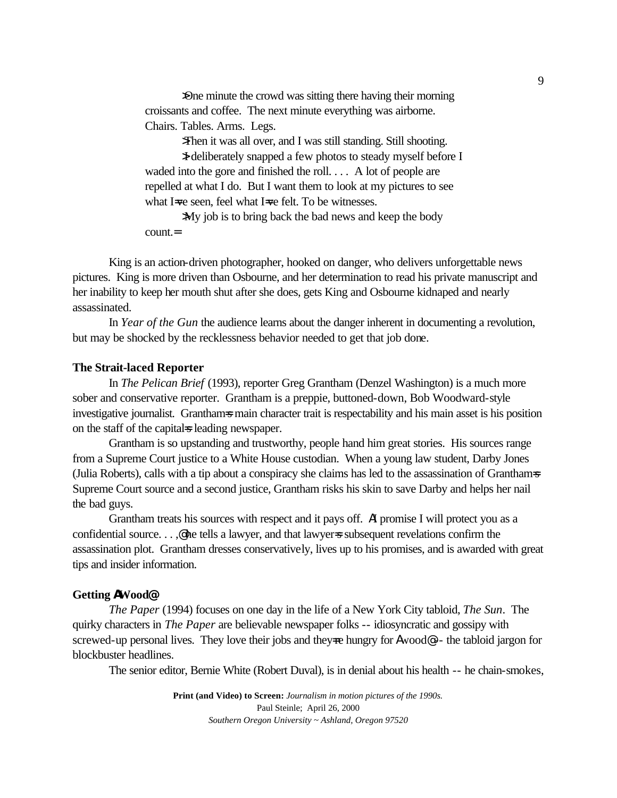>One minute the crowd was sitting there having their morning croissants and coffee. The next minute everything was airborne. Chairs. Tables. Arms. Legs.

>Then it was all over, and I was still standing. Still shooting.

>I deliberately snapped a few photos to steady myself before I waded into the gore and finished the roll. . . . A lot of people are repelled at what I do. But I want them to look at my pictures to see what I=ve seen, feel what I=ve felt. To be witnesses.

>My job is to bring back the bad news and keep the body count.=

King is an action-driven photographer, hooked on danger, who delivers unforgettable news pictures. King is more driven than Osbourne, and her determination to read his private manuscript and her inability to keep her mouth shut after she does, gets King and Osbourne kidnaped and nearly assassinated.

In *Year of the Gun* the audience learns about the danger inherent in documenting a revolution, but may be shocked by the recklessness behavior needed to get that job done.

#### **The Strait-laced Reporter**

In *The Pelican Brief* (1993), reporter Greg Grantham (Denzel Washington) is a much more sober and conservative reporter. Grantham is a preppie, buttoned-down, Bob Woodward-style investigative journalist. Granthams main character trait is respectability and his main asset is his position on the staff of the capital is leading newspaper.

Grantham is so upstanding and trustworthy, people hand him great stories. His sources range from a Supreme Court justice to a White House custodian. When a young law student, Darby Jones (Julia Roberts), calls with a tip about a conspiracy she claims has led to the assassination of Grantham=s Supreme Court source and a second justice, Grantham risks his skin to save Darby and helps her nail the bad guys.

Grantham treats his sources with respect and it pays off. AI promise I will protect you as a confidential source. . . ,  $\circledast$  he tells a lawyer, and that lawyer=s subsequent revelations confirm the assassination plot. Grantham dresses conservatively, lives up to his promises, and is awarded with great tips and insider information.

# **Getting AWood@**

*The Paper* (1994) focuses on one day in the life of a New York City tabloid, *The Sun*. The quirky characters in *The Paper* are believable newspaper folks -- idiosyncratic and gossipy with screwed-up personal lives. They love their jobs and they re hungry for Awood  $\epsilon$ -- the tabloid jargon for blockbuster headlines.

The senior editor, Bernie White (Robert Duval), is in denial about his health -- he chain-smokes,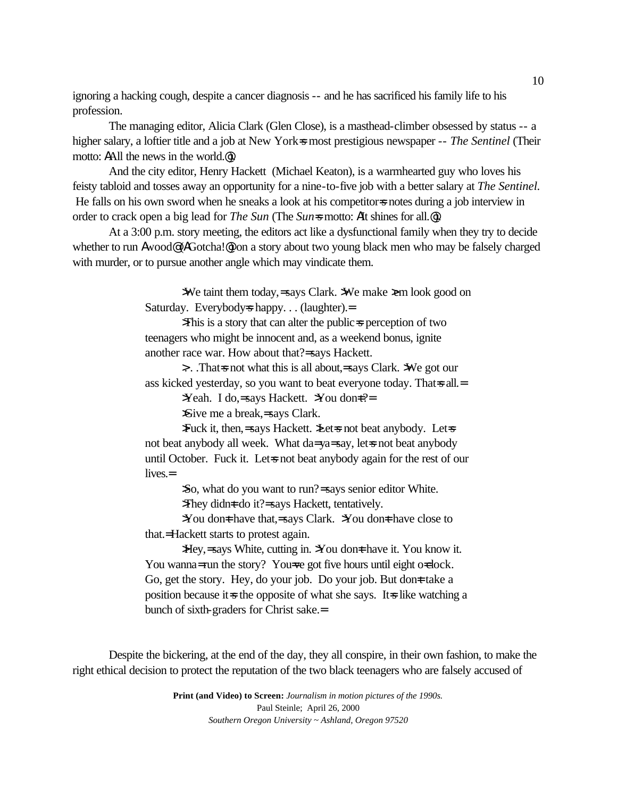ignoring a hacking cough, despite a cancer diagnosis -- and he has sacrificed his family life to his profession.

The managing editor, Alicia Clark (Glen Close), is a masthead-climber obsessed by status -- a higher salary, a loftier title and a job at New York=s most prestigious newspaper -- *The Sentinel* (Their motto: AAll the news in the world.@).

And the city editor, Henry Hackett (Michael Keaton), is a warmhearted guy who loves his feisty tabloid and tosses away an opportunity for a nine-to-five job with a better salary at *The Sentinel.*  He falls on his own sword when he sneaks a look at his competitor=s notes during a job interview in order to crack open a big lead for *The Sun* (The *Sun*=s motto: AIt shines for all.<sup>@</sup>).

At a 3:00 p.m. story meeting, the editors act like a dysfunctional family when they try to decide whether to run Awood@ (AGotcha!@) on a story about two young black men who may be falsely charged with murder, or to pursue another angle which may vindicate them.

> >We taint them today,= says Clark. >We make >em look good on Saturday. Everybody = happy... (laughter).

>This is a story that can alter the public=s perception of two teenagers who might be innocent and, as a weekend bonus, ignite another race war. How about that?= says Hackett.

>. . .That=s not what this is all about,= says Clark. >We got our ass kicked yesterday, so you want to beat everyone today. That s all.

>Yeah. I do, = says Hackett. >You don =? =

>Give me a break,= says Clark.

>Fuck it, then,= says Hackett. >Let=s not beat anybody. Let=s not beat anybody all week. What da= ya= say, let=s not beat anybody until October. Fuck it. Let-s not beat anybody again for the rest of our lives.=

>So, what do you want to run?= says senior editor White.

>They didn=t do it? = says Hackett, tentatively.

 $\rightarrow$ You don  $\pm$  have that, = says Clark.  $\rightarrow$ You don  $\pm$  have close to that.= Hackett starts to protest again.

Hey, = says White, cutting in. >You don t have it. You know it. You wanna= run the story? You=ve got five hours until eight o=clock. Go, get the story. Hey, do your job. Do your job. But dont take a position because it  $\equiv$  the opposite of what she says. It  $\equiv$  like watching a bunch of sixth-graders for Christ sake.=

Despite the bickering, at the end of the day, they all conspire, in their own fashion, to make the right ethical decision to protect the reputation of the two black teenagers who are falsely accused of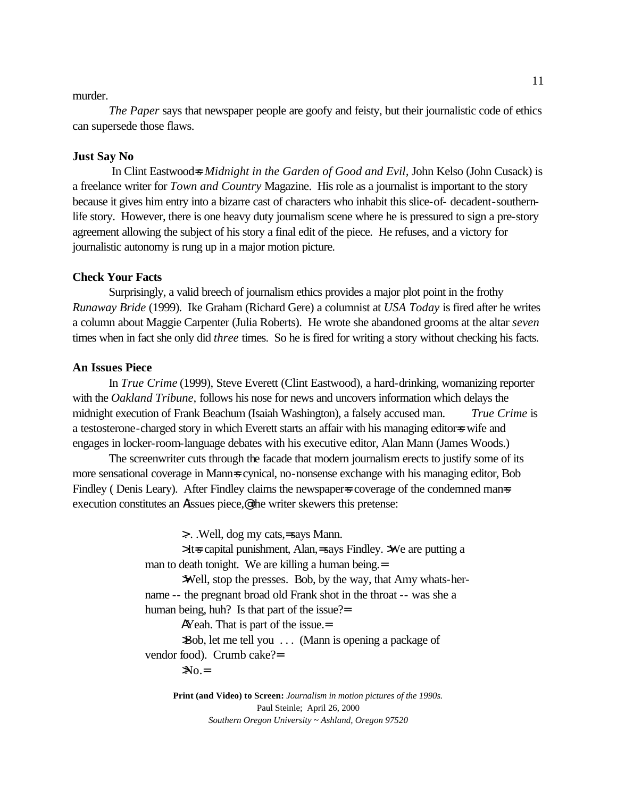### murder.

*The Paper* says that newspaper people are goofy and feisty, but their journalistic code of ethics can supersede those flaws.

## **Just Say No**

In Clint Eastwood=s *Midnight in the Garden of Good and Evil*, John Kelso (John Cusack) is a freelance writer for *Town and Country* Magazine. His role as a journalist is important to the story because it gives him entry into a bizarre cast of characters who inhabit this slice-of- decadent-southernlife story. However, there is one heavy duty journalism scene where he is pressured to sign a pre-story agreement allowing the subject of his story a final edit of the piece. He refuses, and a victory for journalistic autonomy is rung up in a major motion picture.

#### **Check Your Facts**

Surprisingly, a valid breech of journalism ethics provides a major plot point in the frothy *Runaway Bride* (1999). Ike Graham (Richard Gere) a columnist at *USA Today* is fired after he writes a column about Maggie Carpenter (Julia Roberts). He wrote she abandoned grooms at the altar *seven* times when in fact she only did *three* times. So he is fired for writing a story without checking his facts.

## **An Issues Piece**

In *True Crime* (1999), Steve Everett (Clint Eastwood), a hard-drinking, womanizing reporter with the *Oakland Tribune,* follows his nose for news and uncovers information which delays the midnight execution of Frank Beachum (Isaiah Washington), a falsely accused man. *True Crime* is a testosterone-charged story in which Everett starts an affair with his managing editor-s wife and engages in locker-room-language debates with his executive editor, Alan Mann (James Woods.)

The screenwriter cuts through the facade that modern journalism erects to justify some of its more sensational coverage in Mann=s cynical, no-nonsense exchange with his managing editor, Bob Findley (Denis Leary). After Findley claims the newspaper=s coverage of the condemned man=s execution constitutes an Aissues piece,@ the writer skewers this pretense:

>. . .Well, dog my cats,= says Mann.

> It=s capital punishment, Alan,= says Findley. >We are putting a man to death tonight. We are killing a human being.=

>Well, stop the presses. Bob, by the way, that Amy whats-hername -- the pregnant broad old Frank shot in the throat -- was she a human being, huh? Is that part of the issue?=

AYeah. That is part of the issue.=

>Bob, let me tell you . . . (Mann is opening a package of vendor food). Crumb cake?=

 $NO =$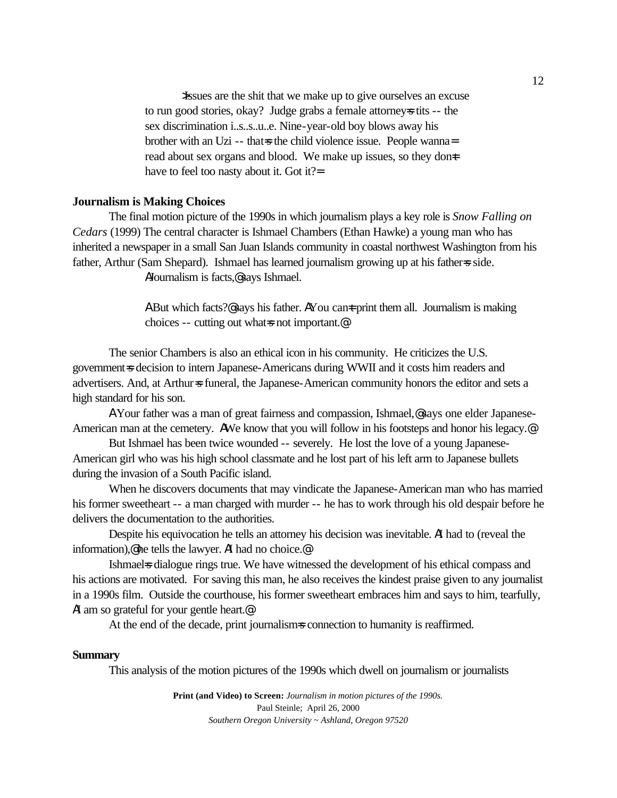>Issues are the shit that we make up to give ourselves an excuse to run good stories, okay? Judge grabs a female attorneys tits -- the sex discrimination i..s..s..u..e. Nine-year-old boy blows away his brother with an Uzi -- that is the child violence issue. People wanna= read about sex organs and blood. We make up issues, so they done have to feel too nasty about it. Got it?=

#### **Journalism is Making Choices**

The final motion picture of the 1990s in which journalism plays a key role is *Snow Falling on Cedars* (1999) The central character is Ishmael Chambers (Ethan Hawke) a young man who has inherited a newspaper in a small San Juan Islands community in coastal northwest Washington from his father, Arthur (Sam Shepard). Ishmael has learned journalism growing up at his father=s side. AJournalism is facts,@ says Ishmael.

> A But which facts?@ says his father. AYou can  $\pm$  print them all. Journalism is making choices -- cutting out what is not important.<sup>@</sup>

The senior Chambers is also an ethical icon in his community. He criticizes the U.S. government=s decision to intern Japanese-Americans during WWII and it costs him readers and advertisers. And, at Arthur=s funeral, the Japanese-American community honors the editor and sets a high standard for his son.

A Your father was a man of great fairness and compassion, Ishmael,@ says one elder Japanese-American man at the cemetery. AWe know that you will follow in his footsteps and honor his legacy.@

But Ishmael has been twice wounded -- severely. He lost the love of a young Japanese-American girl who was his high school classmate and he lost part of his left arm to Japanese bullets during the invasion of a South Pacific island.

When he discovers documents that may vindicate the Japanese-American man who has married his former sweetheart -- a man charged with murder -- he has to work through his old despair before he delivers the documentation to the authorities.

Despite his equivocation he tells an attorney his decision was inevitable. AI had to (reveal the information),@ he tells the lawyer. AI had no choice.@

Ishmaels dialogue rings true. We have witnessed the development of his ethical compass and his actions are motivated. For saving this man, he also receives the kindest praise given to any journalist in a 1990s film. Outside the courthouse, his former sweetheart embraces him and says to him, tearfully, AI am so grateful for your gentle heart.@

At the end of the decade, print journalism=s connection to humanity is reaffirmed.

#### **Summary**

This analysis of the motion pictures of the 1990s which dwell on journalism or journalists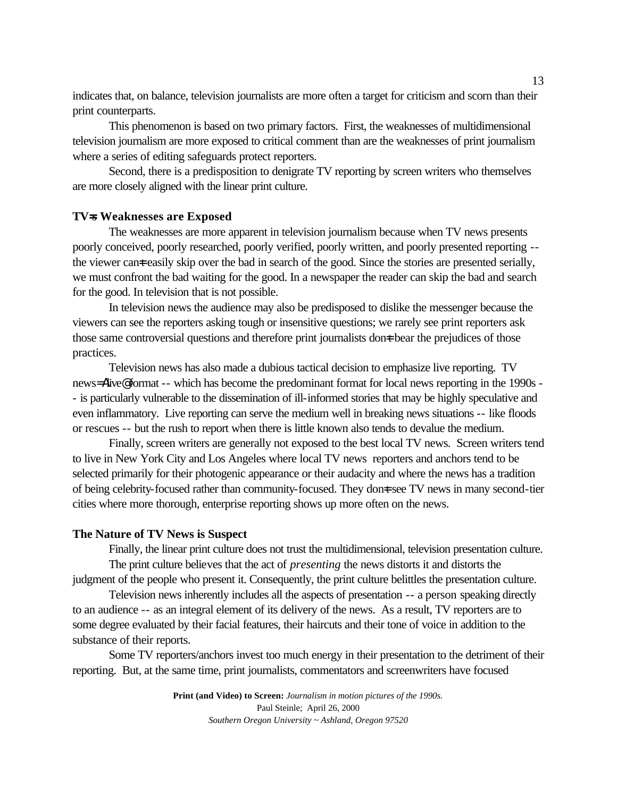indicates that, on balance, television journalists are more often a target for criticism and scorn than their print counterparts.

This phenomenon is based on two primary factors. First, the weaknesses of multidimensional television journalism are more exposed to critical comment than are the weaknesses of print journalism where a series of editing safeguards protect reporters.

Second, there is a predisposition to denigrate TV reporting by screen writers who themselves are more closely aligned with the linear print culture.

## **TV=s Weaknesses are Exposed**

The weaknesses are more apparent in television journalism because when TV news presents poorly conceived, poorly researched, poorly verified, poorly written, and poorly presented reporting - the viewer can teasily skip over the bad in search of the good. Since the stories are presented serially, we must confront the bad waiting for the good. In a newspaper the reader can skip the bad and search for the good. In television that is not possible.

In television news the audience may also be predisposed to dislike the messenger because the viewers can see the reporters asking tough or insensitive questions; we rarely see print reporters ask those same controversial questions and therefore print journalists dont bear the prejudices of those practices.

Television news has also made a dubious tactical decision to emphasize live reporting. TV news= Alive@ format -- which has become the predominant format for local news reporting in the 1990s - - is particularly vulnerable to the dissemination of ill-informed stories that may be highly speculative and even inflammatory. Live reporting can serve the medium well in breaking news situations -- like floods or rescues -- but the rush to report when there is little known also tends to devalue the medium.

Finally, screen writers are generally not exposed to the best local TV news. Screen writers tend to live in New York City and Los Angeles where local TV news reporters and anchors tend to be selected primarily for their photogenic appearance or their audacity and where the news has a tradition of being celebrity-focused rather than community-focused. They done see TV news in many second-tier cities where more thorough, enterprise reporting shows up more often on the news.

## **The Nature of TV News is Suspect**

Finally, the linear print culture does not trust the multidimensional, television presentation culture. The print culture believes that the act of *presenting* the news distorts it and distorts the

judgment of the people who present it. Consequently, the print culture belittles the presentation culture. Television news inherently includes all the aspects of presentation -- a person speaking directly

to an audience -- as an integral element of its delivery of the news. As a result, TV reporters are to some degree evaluated by their facial features, their haircuts and their tone of voice in addition to the substance of their reports.

Some TV reporters/anchors invest too much energy in their presentation to the detriment of their reporting. But, at the same time, print journalists, commentators and screenwriters have focused